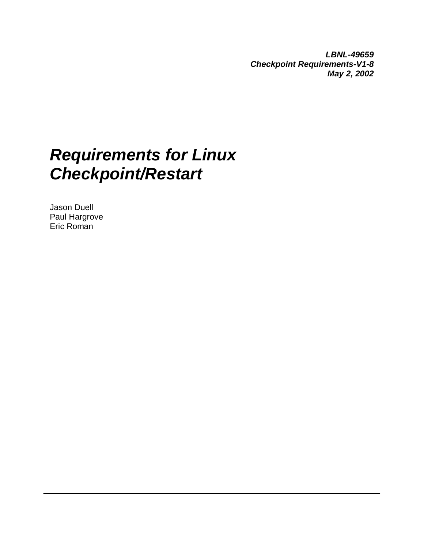**LBNL-49659 Checkpoint Requirements-V1-8 May 2, 2002**

# **Requirements for Linux Checkpoint/Restart**

Jason Duell Paul Hargrove Eric Roman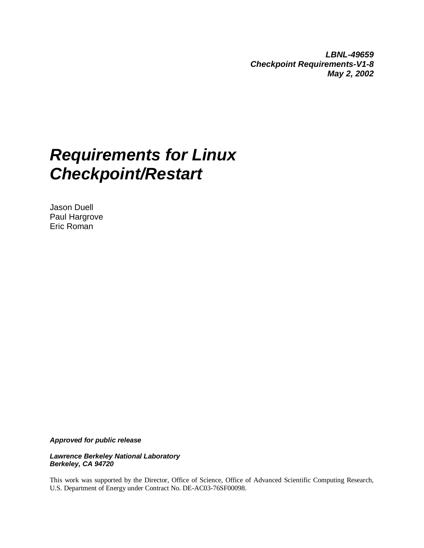**LBNL-49659 Checkpoint Requirements-V1-8 May 2, 2002**

# **Requirements for Linux Checkpoint/Restart**

Jason Duell Paul Hargrove Eric Roman

**Approved for public release**

**Lawrence Berkeley National Laboratory Berkeley, CA 94720**

This work was supported by the Director, Office of Science, Office of Advanced Scientific Computing Research, U.S. Department of Energy under Contract No. DE-AC03-76SF00098.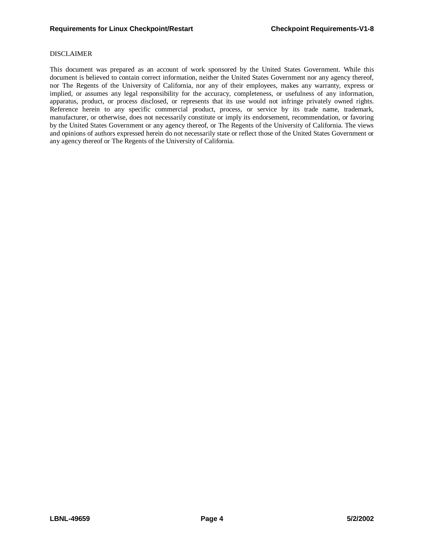## DISCLAIMER

This document was prepared as an account of work sponsored by the United States Government. While this document is believed to contain correct information, neither the United States Government nor any agency thereof, nor The Regents of the University of California, nor any of their employees, makes any warranty, express or implied, or assumes any legal responsibility for the accuracy, completeness, or usefulness of any information, apparatus, product, or process disclosed, or represents that its use would not infringe privately owned rights. Reference herein to any specific commercial product, process, or service by its trade name, trademark, manufacturer, or otherwise, does not necessarily constitute or imply its endorsement, recommendation, or favoring by the United States Government or any agency thereof, or The Regents of the University of California. The views and opinions of authors expressed herein do not necessarily state or reflect those of the United States Government or any agency thereof or The Regents of the University of California.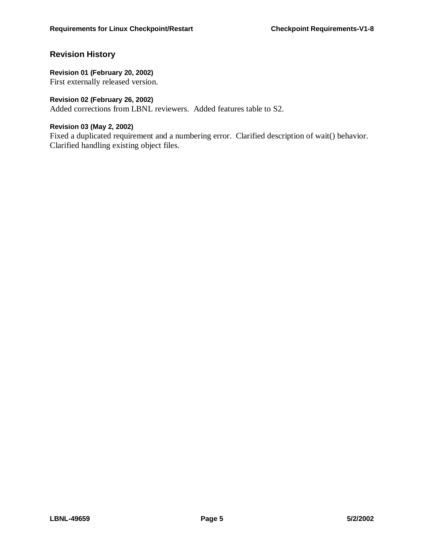# **Revision History**

## **Revision 01 (February 20, 2002)**

First externally released version.

# **Revision 02 (February 26, 2002)**

Added corrections from LBNL reviewers. Added features table to S2.

## **Revision 03 (May 2, 2002)**

Fixed a duplicated requirement and a numbering error. Clarified description of wait() behavior. Clarified handling existing object files.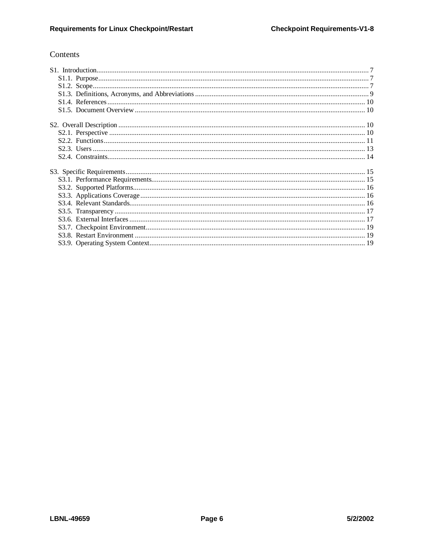# Contents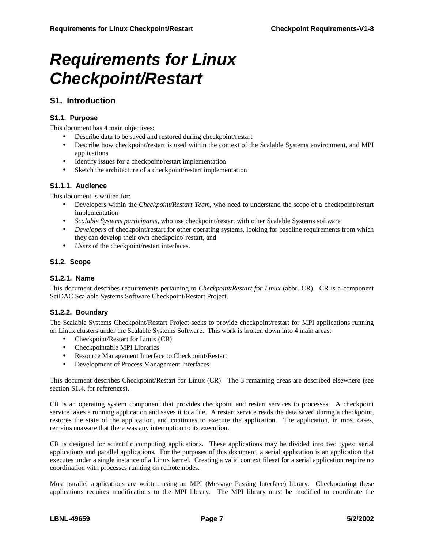# **Requirements for Linux Checkpoint/Restart**

# **S1. Introduction**

## **S1.1. Purpose**

This document has 4 main objectives:

- Describe data to be saved and restored during checkpoint/restart
- Describe how checkpoint/restart is used within the context of the Scalable Systems environment, and MPI applications
- Identify issues for a checkpoint/restart implementation
- Sketch the architecture of a checkpoint/restart implementation

## **S1.1.1. Audience**

This document is written for:

- Developers within the *Checkpoint/Restart Team*, who need to understand the scope of a checkpoint/restart implementation
- *Scalable Systems participants*, who use checkpoint/restart with other Scalable Systems software
- *Developers* of checkpoint/restart for other operating systems, looking for baseline requirements from which they can develop their own checkpoint/ restart, and
- *Users* of the checkpoint/restart interfaces.

## **S1.2. Scope**

## **S1.2.1. Name**

This document describes requirements pertaining to *Checkpoint/Restart for Linux* (abbr. CR). CR is a component SciDAC Scalable Systems Software Checkpoint/Restart Project.

## **S1.2.2. Boundary**

The Scalable Systems Checkpoint/Restart Project seeks to provide checkpoint/restart for MPI applications running on Linux clusters under the Scalable Systems Software. This work is broken down into 4 main areas:

- Checkpoint/Restart for Linux (CR)
- Checkpointable MPI Libraries
- Resource Management Interface to Checkpoint/Restart
- Development of Process Management Interfaces

This document describes Checkpoint/Restart for Linux (CR). The 3 remaining areas are described elsewhere (see section S1.4. for references).

CR is an operating system component that provides checkpoint and restart services to processes. A checkpoint service takes a running application and saves it to a file. A restart service reads the data saved during a checkpoint, restores the state of the application, and continues to execute the application. The application, in most cases, remains unaware that there was any interruption to its execution.

CR is designed for scientific computing applications. These applications may be divided into two types: serial applications and parallel applications. For the purposes of this document, a serial application is an application that executes under a single instance of a Linux kernel. Creating a valid context fileset for a serial application require no coordination with processes running on remote nodes.

Most parallel applications are written using an MPI (Message Passing Interface) library. Checkpointing these applications requires modifications to the MPI library. The MPI library must be modified to coordinate the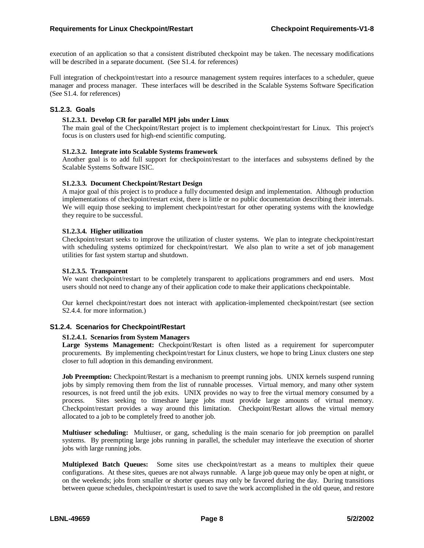execution of an application so that a consistent distributed checkpoint may be taken. The necessary modifications will be described in a separate document. (See S1.4. for references)

Full integration of checkpoint/restart into a resource management system requires interfaces to a scheduler, queue manager and process manager. These interfaces will be described in the Scalable Systems Software Specification (See S1.4. for references)

## **S1.2.3. Goals**

#### **S1.2.3.1. Develop CR for parallel MPI jobs under Linux**

The main goal of the Checkpoint/Restart project is to implement checkpoint/restart for Linux. This project's focus is on clusters used for high-end scientific computing.

#### **S1.2.3.2. Integrate into Scalable Systems framework**

Another goal is to add full support for checkpoint/restart to the interfaces and subsystems defined by the Scalable Systems Software ISIC.

#### **S1.2.3.3. Document Checkpoint/Restart Design**

A major goal of this project is to produce a fully documented design and implementation. Although production implementations of checkpoint/restart exist, there is little or no public documentation describing their internals. We will equip those seeking to implement checkpoint/restart for other operating systems with the knowledge they require to be successful.

#### **S1.2.3.4. Higher utilization**

Checkpoint/restart seeks to improve the utilization of cluster systems. We plan to integrate checkpoint/restart with scheduling systems optimized for checkpoint/restart. We also plan to write a set of job management utilities for fast system startup and shutdown.

#### **S1.2.3.5. Transparent**

We want checkpoint/restart to be completely transparent to applications programmers and end users. Most users should not need to change any of their application code to make their applications checkpointable.

Our kernel checkpoint/restart does not interact with application-implemented checkpoint/restart (see section S2.4.4. for more information.)

## **S1.2.4. Scenarios for Checkpoint/Restart**

#### **S1.2.4.1. Scenarios from System Managers**

**Large Systems Management:** Checkpoint/Restart is often listed as a requirement for supercomputer procurements. By implementing checkpoint/restart for Linux clusters, we hope to bring Linux clusters one step closer to full adoption in this demanding environment.

**Job Preemption:** Checkpoint/Restart is a mechanism to preempt running jobs. UNIX kernels suspend running jobs by simply removing them from the list of runnable processes. Virtual memory, and many other system resources, is not freed until the job exits. UNIX provides no way to free the virtual memory consumed by a process. Sites seeking to timeshare large jobs must provide large amounts of virtual memory. Checkpoint/restart provides a way around this limitation. Checkpoint/Restart allows the virtual memory allocated to a job to be completely freed to another job.

**Multiuser scheduling:** Multiuser, or gang, scheduling is the main scenario for job preemption on parallel systems. By preempting large jobs running in parallel, the scheduler may interleave the execution of shorter jobs with large running jobs.

**Multiplexed Batch Queues:** Some sites use checkpoint/restart as a means to multiplex their queue configurations. At these sites, queues are not always runnable. A large job queue may only be open at night, or on the weekends; jobs from smaller or shorter queues may only be favored during the day. During transitions between queue schedules, checkpoint/restart is used to save the work accomplished in the old queue, and restore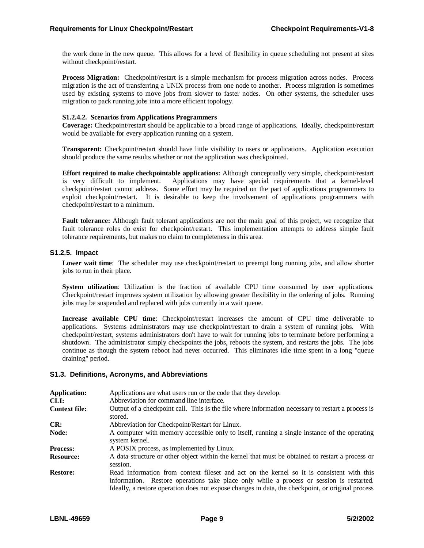the work done in the new queue. This allows for a level of flexibility in queue scheduling not present at sites without checkpoint/restart.

**Process Migration:** Checkpoint/restart is a simple mechanism for process migration across nodes. Process migration is the act of transferring a UNIX process from one node to another. Process migration is sometimes used by existing systems to move jobs from slower to faster nodes. On other systems, the scheduler uses migration to pack running jobs into a more efficient topology.

#### **S1.2.4.2. Scenarios from Applications Programmers**

**Coverage:** Checkpoint/restart should be applicable to a broad range of applications. Ideally, checkpoint/restart would be available for every application running on a system.

**Transparent:** Checkpoint/restart should have little visibility to users or applications. Application execution should produce the same results whether or not the application was checkpointed.

**Effort required to make checkpointable applications:** Although conceptually very simple, checkpoint/restart is very difficult to implement. Applications may have special requirements that a kernel-level checkpoint/restart cannot address. Some effort may be required on the part of applications programmers to exploit checkpoint/restart. It is desirable to keep the involvement of applications programmers with checkpoint/restart to a minimum.

**Fault tolerance:** Although fault tolerant applications are not the main goal of this project, we recognize that fault tolerance roles do exist for checkpoint/restart. This implementation attempts to address simple fault tolerance requirements, but makes no claim to completeness in this area.

#### **S1.2.5. Impact**

**Lower wait time**: The scheduler may use checkpoint/restart to preempt long running jobs, and allow shorter jobs to run in their place.

**System utilization**: Utilization is the fraction of available CPU time consumed by user applications. Checkpoint/restart improves system utilization by allowing greater flexibility in the ordering of jobs. Running jobs may be suspended and replaced with jobs currently in a wait queue.

**Increase available CPU time**: Checkpoint/restart increases the amount of CPU time deliverable to applications. Systems administrators may use checkpoint/restart to drain a system of running jobs. With checkpoint/restart, systems administrators don't have to wait for running jobs to terminate before performing a shutdown. The administrator simply checkpoints the jobs, reboots the system, and restarts the jobs. The jobs continue as though the system reboot had never occurred. This eliminates idle time spent in a long "queue draining" period.

## **S1.3. Definitions, Acronyms, and Abbreviations**

| <b>Application:</b><br>CLI: | Applications are what users run or the code that they develop.<br>Abbreviation for command line interface.                                                                                                                                                                                 |
|-----------------------------|--------------------------------------------------------------------------------------------------------------------------------------------------------------------------------------------------------------------------------------------------------------------------------------------|
| <b>Context file:</b>        | Output of a checkpoint call. This is the file where information necessary to restart a process is<br>stored.                                                                                                                                                                               |
| CR:                         | Abbreviation for Checkpoint/Restart for Linux.                                                                                                                                                                                                                                             |
| Node:                       | A computer with memory accessible only to itself, running a single instance of the operating<br>system kernel.                                                                                                                                                                             |
| <b>Process:</b>             | A POSIX process, as implemented by Linux.                                                                                                                                                                                                                                                  |
| <b>Resource:</b>            | A data structure or other object within the kernel that must be obtained to restart a process or<br>session.                                                                                                                                                                               |
| <b>Restore:</b>             | Read information from context fileset and act on the kernel so it is consistent with this<br>information. Restore operations take place only while a process or session is restarted.<br>Ideally, a restore operation does not expose changes in data, the checkpoint, or original process |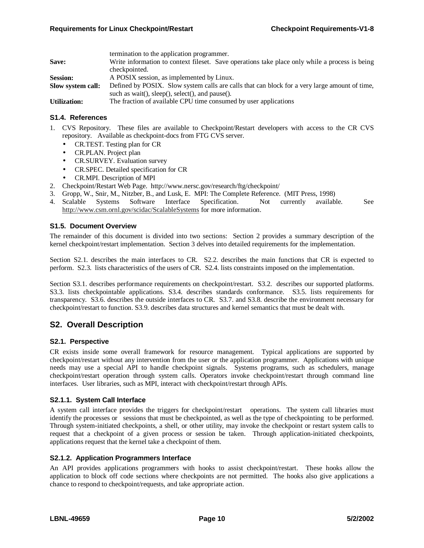|                     | termination to the application programmer.                                                     |  |  |  |
|---------------------|------------------------------------------------------------------------------------------------|--|--|--|
| Save:               | Write information to context fileset. Save operations take place only while a process is being |  |  |  |
|                     | checkpointed.                                                                                  |  |  |  |
| <b>Session:</b>     | A POSIX session, as implemented by Linux.                                                      |  |  |  |
| Slow system call:   | Defined by POSIX. Slow system calls are calls that can block for a very large amount of time,  |  |  |  |
|                     | such as wait(), sleep(), select(), and pause().                                                |  |  |  |
| <b>Utilization:</b> | The fraction of available CPU time consumed by user applications                               |  |  |  |

#### **S1.4. References**

- 1. CVS Repository. These files are available to Checkpoint/Restart developers with access to the CR CVS repository. Available as checkpoint-docs from FTG CVS server.
	- CR.TEST. Testing plan for CR
	- CR.PLAN. Project plan
	- CR.SURVEY. Evaluation survey
	- CR.SPEC. Detailed specification for CR
	- CR.MPI. Description of MPI
- 2. Checkpoint/Restart Web Page. http://www.nersc.gov/research/ftg/checkpoint/
- 3. Gropp, W., Snir, M., Nitzber, B., and Lusk, E. MPI: The Complete Reference. (MIT Press, 1998)
- 4. Scalable Systems Software Interface Specification. Not currently available. See http://www.csm.ornl.gov/scidac/ScalableSystems for more information.

#### **S1.5. Document Overview**

The remainder of this document is divided into two sections: Section 2 provides a summary description of the kernel checkpoint/restart implementation. Section 3 delves into detailed requirements for the implementation.

Section S2.1. describes the main interfaces to CR. S2.2. describes the main functions that CR is expected to perform. S2.3. lists characteristics of the users of CR. S2.4. lists constraints imposed on the implementation.

Section S3.1. describes performance requirements on checkpoint/restart. S3.2. describes our supported platforms. S3.3. lists checkpointable applications. S3.4. describes standards conformance. S3.5. lists requirements for transparency. S3.6. describes the outside interfaces to CR. S3.7. and S3.8. describe the environment necessary for checkpoint/restart to function. S3.9. describes data structures and kernel semantics that must be dealt with.

## **S2. Overall Description**

#### **S2.1. Perspective**

CR exists inside some overall framework for resource management. Typical applications are supported by checkpoint/restart without any intervention from the user or the application programmer. Applications with unique needs may use a special API to handle checkpoint signals. Systems programs, such as schedulers, manage checkpoint/restart operation through system calls. Operators invoke checkpoint/restart through command line interfaces. User libraries, such as MPI, interact with checkpoint/restart through APIs.

## **S2.1.1. System Call Interface**

A system call interface provides the triggers for checkpoint/restart operations. The system call libraries must identify the processes or sessions that must be checkpointed, as well as the type of checkpointing to be performed. Through system-initiated checkpoints, a shell, or other utility, may invoke the checkpoint or restart system calls to request that a checkpoint of a given process or session be taken. Through application-initiated checkpoints, applications request that the kernel take a checkpoint of them.

#### **S2.1.2. Application Programmers Interface**

An API provides applications programmers with hooks to assist checkpoint/restart. These hooks allow the application to block off code sections where checkpoints are not permitted. The hooks also give applications a chance to respond to checkpoint/requests, and take appropriate action.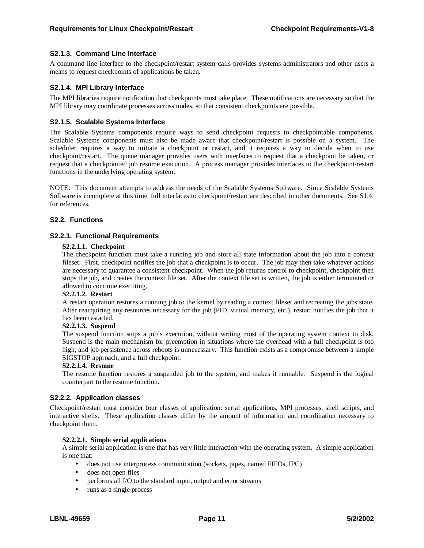## **S2.1.3. Command Line Interface**

A command line interface to the checkpoint/restart system calls provides systems administrators and other users a means to request checkpoints of applications be taken.

#### **S2.1.4. MPI Library Interface**

The MPI libraries require notification that checkpoints must take place. These notifications are necessary so that the MPI library may coordinate processes across nodes, so that consistent checkpoints are possible.

#### **S2.1.5. Scalable Systems Interface**

The Scalable Systems components require ways to send checkpoint requests to checkpointable components. Scalable Systems components must also be made aware that checkpoint/restart is possible on a system. The scheduler requires a way to initiate a checkpoint or restart, and it requires a way to decide when to use checkpoint/restart. The queue manager provides users with interfaces to request that a checkpoint be taken, or request that a checkpointed job resume execution. A process manager provides interfaces to the checkpoint/restart functions in the underlying operating system.

NOTE: This document attempts to address the needs of the Scalable Systems Software. Since Scalable Systems Software is incomplete at this time, full interfaces to checkpoint/restart are described in other documents. See S1.4. for references.

#### **S2.2. Functions**

#### **S2.2.1. Functional Requirements**

#### **S2.2.1.1. Checkpoint**

The checkpoint function must take a running job and store all state information about the job into a context fileset. First, checkpoint notifies the job that a checkpoint is to occur. The job may then take whatever actions are necessary to guarantee a consistent checkpoint. When the job returns control to checkpoint, checkpoint then stops the job, and creates the context file set. After the context file set is written, the job is either terminated or allowed to continue executing.

#### **S2.2.1.2. Restart**

A restart operation restores a running job to the kernel by reading a context fileset and recreating the jobs state. After reacquiring any resources necessary for the job (PID, virtual memory, etc.), restart notifies the job that it has been restarted.

#### **S2.2.1.3. Suspend**

The suspend function stops a job's execution, without writing most of the operating system context to disk. Suspend is the main mechanism for preemption in situations where the overhead with a full checkpoint is too high, and job persistence across reboots is unnecessary. This function exists as a compromise between a simple SIGSTOP approach, and a full checkpoint.

#### **S2.2.1.4. Resume**

The resume function restores a suspended job to the system, and makes it runnable. Suspend is the logical counterpart to the resume function.

#### **S2.2.2. Application classes**

Checkpoint/restart must consider four classes of application: serial applications, MPI processes, shell scripts, and interactive shells. These application classes differ by the amount of information and coordination necessary to checkpoint them.

#### **S2.2.2.1. Simple serial applications**

A simple serial application is one that has very little interaction with the operating system. A simple application is one that:

- does not use interprocess communication (sockets, pipes, named FIFOs, IPC)
- does not open files
- performs all I/O to the standard input, output and error streams
- runs as a single process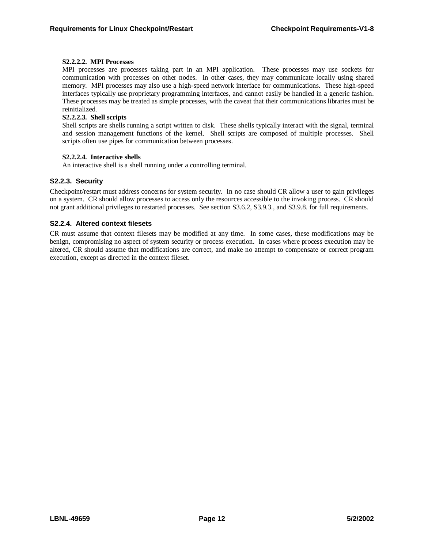#### **S2.2.2.2. MPI Processes**

MPI processes are processes taking part in an MPI application. These processes may use sockets for communication with processes on other nodes. In other cases, they may communicate locally using shared memory. MPI processes may also use a high-speed network interface for communications. These high-speed interfaces typically use proprietary programming interfaces, and cannot easily be handled in a generic fashion. These processes may be treated as simple processes, with the caveat that their communications libraries must be reinitialized.

#### **S2.2.2.3. Shell scripts**

Shell scripts are shells running a script written to disk. These shells typically interact with the signal, terminal and session management functions of the kernel. Shell scripts are composed of multiple processes. Shell scripts often use pipes for communication between processes.

#### **S2.2.2.4. Interactive shells**

An interactive shell is a shell running under a controlling terminal.

## **S2.2.3. Security**

Checkpoint/restart must address concerns for system security. In no case should CR allow a user to gain privileges on a system. CR should allow processes to access only the resources accessible to the invoking process. CR should not grant additional privileges to restarted processes. See section S3.6.2, S3.9.3., and S3.9.8. for full requirements.

#### **S2.2.4. Altered context filesets**

CR must assume that context filesets may be modified at any time. In some cases, these modifications may be benign, compromising no aspect of system security or process execution. In cases where process execution may be altered, CR should assume that modifications are correct, and make no attempt to compensate or correct program execution, except as directed in the context fileset.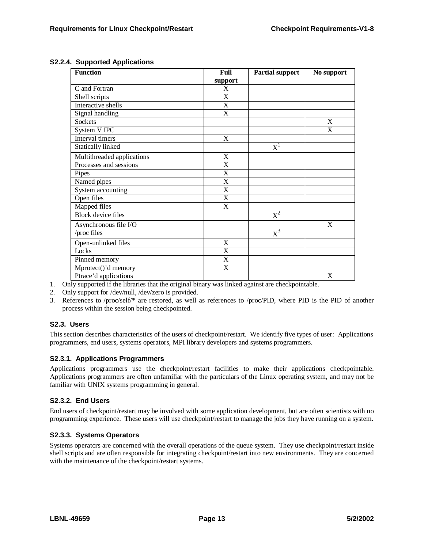| <b>Function</b>            | Full                      | <b>Partial support</b> | No support                |
|----------------------------|---------------------------|------------------------|---------------------------|
|                            | support                   |                        |                           |
| C and Fortran              | X                         |                        |                           |
| Shell scripts              | X                         |                        |                           |
| Interactive shells         | X                         |                        |                           |
| Signal handling            | $\overline{\text{X}}$     |                        |                           |
| Sockets                    |                           |                        | X                         |
| System V IPC               |                           |                        | $\boldsymbol{\mathrm{X}}$ |
| Interval timers            | $\mathbf X$               |                        |                           |
| <b>Statically linked</b>   |                           | $X^1$                  |                           |
| Multithreaded applications | X                         |                        |                           |
| Processes and sessions     | X                         |                        |                           |
| Pipes                      | X                         |                        |                           |
| Named pipes                | X                         |                        |                           |
| System accounting          | $\mathbf X$               |                        |                           |
| Open files                 | $\boldsymbol{\mathrm{X}}$ |                        |                           |
| Mapped files               | X                         |                        |                           |
| <b>Block</b> device files  |                           | $X^2$                  |                           |
| Asynchronous file I/O      |                           |                        | X                         |
| /proc files                |                           | $\text{X}^{3}$         |                           |
| Open-unlinked files        | X                         |                        |                           |
| Locks                      | X                         |                        |                           |
| Pinned memory              | $\boldsymbol{\mathrm{X}}$ |                        |                           |
| Mprotect()'d memory        | X                         |                        |                           |
| Ptrace'd applications      |                           |                        | $\mathbf X$               |

## **S2.2.4. Supported Applications**

- 1. Only supported if the libraries that the original binary was linked against are checkpointable.
- 2. Only support for /dev/null, /dev/zero is provided.
- 3. References to /proc/self/\* are restored, as well as references to /proc/PID, where PID is the PID of another process within the session being checkpointed.

## **S2.3. Users**

This section describes characteristics of the users of checkpoint/restart. We identify five types of user: Applications programmers, end users, systems operators, MPI library developers and systems programmers.

## **S2.3.1. Applications Programmers**

Applications programmers use the checkpoint/restart facilities to make their applications checkpointable. Applications programmers are often unfamiliar with the particulars of the Linux operating system, and may not be familiar with UNIX systems programming in general.

## **S2.3.2. End Users**

End users of checkpoint/restart may be involved with some application development, but are often scientists with no programming experience. These users will use checkpoint/restart to manage the jobs they have running on a system.

## **S2.3.3. Systems Operators**

Systems operators are concerned with the overall operations of the queue system. They use checkpoint/restart inside shell scripts and are often responsible for integrating checkpoint/restart into new environments. They are concerned with the maintenance of the checkpoint/restart systems.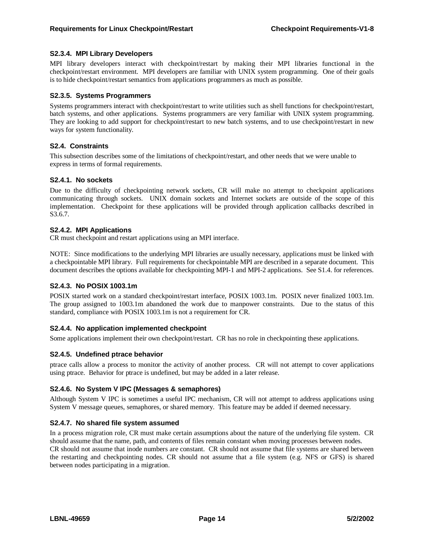## **S2.3.4. MPI Library Developers**

MPI library developers interact with checkpoint/restart by making their MPI libraries functional in the checkpoint/restart environment. MPI developers are familiar with UNIX system programming. One of their goals is to hide checkpoint/restart semantics from applications programmers as much as possible.

## **S2.3.5. Systems Programmers**

Systems programmers interact with checkpoint/restart to write utilities such as shell functions for checkpoint/restart, batch systems, and other applications. Systems programmers are very familiar with UNIX system programming. They are looking to add support for checkpoint/restart to new batch systems, and to use checkpoint/restart in new ways for system functionality.

## **S2.4. Constraints**

This subsection describes some of the limitations of checkpoint/restart, and other needs that we were unable to express in terms of formal requirements.

## **S2.4.1. No sockets**

Due to the difficulty of checkpointing network sockets, CR will make no attempt to checkpoint applications communicating through sockets. UNIX domain sockets and Internet sockets are outside of the scope of this implementation. Checkpoint for these applications will be provided through application callbacks described in S3.6.7.

## **S2.4.2. MPI Applications**

CR must checkpoint and restart applications using an MPI interface.

NOTE: Since modifications to the underlying MPI libraries are usually necessary, applications must be linked with a checkpointable MPI library. Full requirements for checkpointable MPI are described in a separate document. This document describes the options available for checkpointing MPI-1 and MPI-2 applications. See S1.4. for references.

## **S2.4.3. No POSIX 1003.1m**

POSIX started work on a standard checkpoint/restart interface, POSIX 1003.1m. POSIX never finalized 1003.1m. The group assigned to 1003.1m abandoned the work due to manpower constraints. Due to the status of this standard, compliance with POSIX 1003.1m is not a requirement for CR.

## **S2.4.4. No application implemented checkpoint**

Some applications implement their own checkpoint/restart. CR has no role in checkpointing these applications.

## **S2.4.5. Undefined ptrace behavior**

ptrace calls allow a process to monitor the activity of another process. CR will not attempt to cover applications using ptrace. Behavior for ptrace is undefined, but may be added in a later release.

## **S2.4.6. No System V IPC (Messages & semaphores)**

Although System V IPC is sometimes a useful IPC mechanism, CR will not attempt to address applications using System V message queues, semaphores, or shared memory. This feature may be added if deemed necessary.

## **S2.4.7. No shared file system assumed**

In a process migration role, CR must make certain assumptions about the nature of the underlying file system. CR should assume that the name, path, and contents of files remain constant when moving processes between nodes. CR should not assume that inode numbers are constant. CR should not assume that file systems are shared between the restarting and checkpointing nodes. CR should not assume that a file system (e.g. NFS or GFS) is shared between nodes participating in a migration.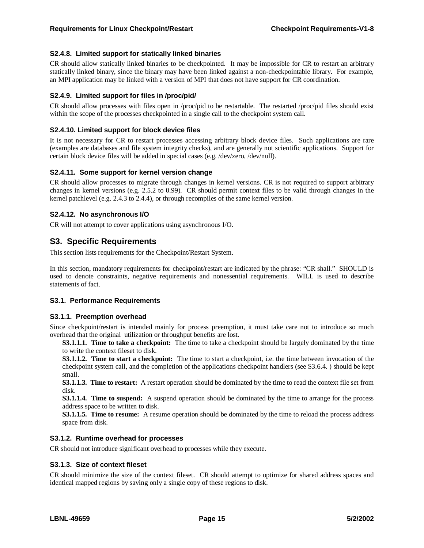## **S2.4.8. Limited support for statically linked binaries**

CR should allow statically linked binaries to be checkpointed. It may be impossible for CR to restart an arbitrary statically linked binary, since the binary may have been linked against a non-checkpointable library. For example, an MPI application may be linked with a version of MPI that does not have support for CR coordination.

## **S2.4.9. Limited support for files in /proc/pid/**

CR should allow processes with files open in /proc/pid to be restartable. The restarted /proc/pid files should exist within the scope of the processes checkpointed in a single call to the checkpoint system call.

## **S2.4.10. Limited support for block device files**

It is not necessary for CR to restart processes accessing arbitrary block device files. Such applications are rare (examples are databases and file system integrity checks), and are generally not scientific applications. Support for certain block device files will be added in special cases (e.g. /dev/zero, /dev/null).

## **S2.4.11. Some support for kernel version change**

CR should allow processes to migrate through changes in kernel versions. CR is not required to support arbitrary changes in kernel versions (e.g. 2.5.2 to 0.99). CR should permit context files to be valid through changes in the kernel patchlevel (e.g. 2.4.3 to 2.4.4), or through recompiles of the same kernel version.

## **S2.4.12. No asynchronous I/O**

CR will not attempt to cover applications using asynchronous I/O.

# **S3. Specific Requirements**

This section lists requirements for the Checkpoint/Restart System.

In this section, mandatory requirements for checkpoint/restart are indicated by the phrase: "CR shall." SHOULD is used to denote constraints, negative requirements and nonessential requirements. WILL is used to describe statements of fact.

## **S3.1. Performance Requirements**

## **S3.1.1. Preemption overhead**

Since checkpoint/restart is intended mainly for process preemption, it must take care not to introduce so much overhead that the original utilization or throughput benefits are lost.

**S3.1.1.1. Time to take a checkpoint:** The time to take a checkpoint should be largely dominated by the time to write the context fileset to disk.

**S3.1.1.2. Time to start a checkpoint:** The time to start a checkpoint, i.e. the time between invocation of the checkpoint system call, and the completion of the applications checkpoint handlers (see S3.6.4. ) should be kept small.

**S3.1.1.3. Time to restart:** A restart operation should be dominated by the time to read the context file set from disk.

**S3.1.1.4. Time to suspend:** A suspend operation should be dominated by the time to arrange for the process address space to be written to disk.

**S3.1.1.5. Time to resume:** A resume operation should be dominated by the time to reload the process address space from disk.

## **S3.1.2. Runtime overhead for processes**

CR should not introduce significant overhead to processes while they execute.

## **S3.1.3. Size of context fileset**

CR should minimize the size of the context fileset. CR should attempt to optimize for shared address spaces and identical mapped regions by saving only a single copy of these regions to disk.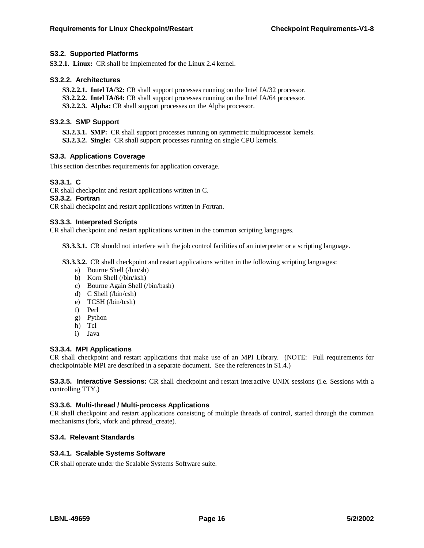## **S3.2. Supported Platforms**

**S3.2.1. Linux:** CR shall be implemented for the Linux 2.4 kernel.

#### **S3.2.2. Architectures**

**S3.2.2.1. Intel IA/32:** CR shall support processes running on the Intel IA/32 processor.

**S3.2.2.2. Intel IA/64:** CR shall support processes running on the Intel IA/64 processor.

**S3.2.2.3. Alpha:** CR shall support processes on the Alpha processor.

## **S3.2.3. SMP Support**

**S3.2.3.1. SMP:** CR shall support processes running on symmetric multiprocessor kernels. **S3.2.3.2. Single:** CR shall support processes running on single CPU kernels.

## **S3.3. Applications Coverage**

This section describes requirements for application coverage.

## **S3.3.1. C**

CR shall checkpoint and restart applications written in C.

## **S3.3.2. Fortran**

CR shall checkpoint and restart applications written in Fortran.

## **S3.3.3. Interpreted Scripts**

CR shall checkpoint and restart applications written in the common scripting languages.

**S3.3.3.1.** CR should not interfere with the job control facilities of an interpreter or a scripting language.

**S3.3.3.2.** CR shall checkpoint and restart applications written in the following scripting languages:

- a) Bourne Shell (/bin/sh)
- b) Korn Shell (/bin/ksh)
- c) Bourne Again Shell (/bin/bash)
- d) C Shell (/bin/csh)
- e) TCSH (/bin/tcsh)
- f) Perl
- g) Python
- h) Tcl
- i) Java

## **S3.3.4. MPI Applications**

CR shall checkpoint and restart applications that make use of an MPI Library. (NOTE: Full requirements for checkpointable MPI are described in a separate document. See the references in S1.4.)

**S3.3.5. Interactive Sessions:** CR shall checkpoint and restart interactive UNIX sessions (i.e. Sessions with a controlling TTY.)

## **S3.3.6. Multi-thread / Multi-process Applications**

CR shall checkpoint and restart applications consisting of multiple threads of control, started through the common mechanisms (fork, vfork and pthread\_create).

## **S3.4. Relevant Standards**

## **S3.4.1. Scalable Systems Software**

CR shall operate under the Scalable Systems Software suite.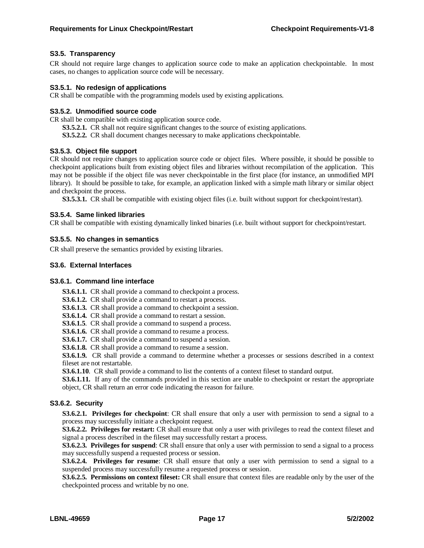## **S3.5. Transparency**

CR should not require large changes to application source code to make an application checkpointable. In most cases, no changes to application source code will be necessary.

#### **S3.5.1. No redesign of applications**

CR shall be compatible with the programming models used by existing applications.

#### **S3.5.2. Unmodified source code**

CR shall be compatible with existing application source code.

- **S3.5.2.1.** CR shall not require significant changes to the source of existing applications.
- **S3.5.2.2.** CR shall document changes necessary to make applications checkpointable.

#### **S3.5.3. Object file support**

CR should not require changes to application source code or object files. Where possible, it should be possible to checkpoint applications built from existing object files and libraries without recompilation of the application. This may not be possible if the object file was never checkpointable in the first place (for instance, an unmodified MPI library). It should be possible to take, for example, an application linked with a simple math library or similar object and checkpoint the process.

**S3.5.3.1.** CR shall be compatible with existing object files (i.e. built without support for checkpoint/restart).

#### **S3.5.4. Same linked libraries**

CR shall be compatible with existing dynamically linked binaries (i.e. built without support for checkpoint/restart.

#### **S3.5.5. No changes in semantics**

CR shall preserve the semantics provided by existing libraries.

#### **S3.6. External Interfaces**

#### **S3.6.1. Command line interface**

**S3.6.1.1.** CR shall provide a command to checkpoint a process.

**S3.6.1.2.** CR shall provide a command to restart a process.

**S3.6.1.3.** CR shall provide a command to checkpoint a session.

**S3.6.1.4.** CR shall provide a command to restart a session.

**S3.6.1.5**. CR shall provide a command to suspend a process.

**S3.6.1.6.** CR shall provide a command to resume a process.

**S3.6.1.7.** CR shall provide a command to suspend a session.

**S3.6.1.8.** CR shall provide a command to resume a session.

**S3.6.1.9.** CR shall provide a command to determine whether a processes or sessions described in a context fileset are not restartable.

**S3.6.1.10**. CR shall provide a command to list the contents of a context fileset to standard output.

**S3.6.1.11.** If any of the commands provided in this section are unable to checkpoint or restart the appropriate object, CR shall return an error code indicating the reason for failure.

## **S3.6.2. Security**

**S3.6.2.1. Privileges for checkpoint**: CR shall ensure that only a user with permission to send a signal to a process may successfully initiate a checkpoint request.

**S3.6.2.2. Privileges for restart:** CR shall ensure that only a user with privileges to read the context fileset and signal a process described in the fileset may successfully restart a process.

**S3.6.2.3. Privileges for suspend**: CR shall ensure that only a user with permission to send a signal to a process may successfully suspend a requested process or session.

**S3.6.2.4. Privileges for resume**: CR shall ensure that only a user with permission to send a signal to a suspended process may successfully resume a requested process or session.

**S3.6.2.5. Permissions on context fileset:** CR shall ensure that context files are readable only by the user of the checkpointed process and writable by no one.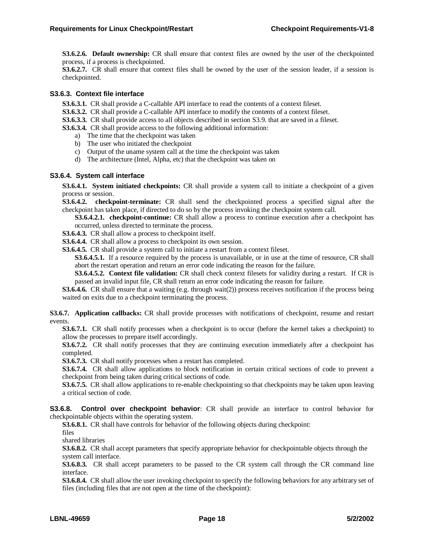**S3.6.2.6. Default ownership:** CR shall ensure that context files are owned by the user of the checkpointed process, if a process is checkpointed.

**S3.6.2.7.** CR shall ensure that context files shall be owned by the user of the session leader, if a session is checkpointed.

## **S3.6.3. Context file interface**

**S3.6.3.1.** CR shall provide a C-callable API interface to read the contents of a context fileset.

**S3.6.3.2.** CR shall provide a C-callable API interface to modify the contents of a context fileset.

**S3.6.3.3.** CR shall provide access to all objects described in section S3.9. that are saved in a fileset.

**S3.6.3.4.** CR shall provide access to the following additional information:

- a) The time that the checkpoint was taken
- b) The user who initiated the checkpoint
- c) Output of the uname system call at the time the checkpoint was taken
- d) The architecture (Intel, Alpha, etc) that the checkpoint was taken on

## **S3.6.4. System call interface**

**S3.6.4.1. System initiated checkpoints:** CR shall provide a system call to initiate a checkpoint of a given process or session.

**S3.6.4.2. checkpoint-terminate:** CR shall send the checkpointed process a specified signal after the checkpoint has taken place, if directed to do so by the process invoking the checkpoint system call.

**S3.6.4.2.1. checkpoint-continue:** CR shall allow a process to continue execution after a checkpoint has occurred, unless directed to terminate the process.

**S3.6.4.3.** CR shall allow a process to checkpoint itself.

**S3.6.4.4.** CR shall allow a process to checkpoint its own session.

**S3.6.4.5.** CR shall provide a system call to initiate a restart from a context fileset.

**S3.6.4.5.1.** If a resource required by the process is unavailable, or in use at the time of resource, CR shall abort the restart operation and return an error code indicating the reason for the failure.

**S3.6.4.5.2. Context file validation:** CR shall check context filesets for validity during a restart. If CR is passed an invalid input file, CR shall return an error code indicating the reason for failure.

**S3.6.4.6.** CR shall ensure that a waiting (e.g. through wait(2)) process receives notification if the process being waited on exits due to a checkpoint terminating the process.

**S3.6.7. Application callbacks:** CR shall provide processes with notifications of checkpoint, resume and restart events.

**S3.6.7.1.** CR shall notify processes when a checkpoint is to occur (before the kernel takes a checkpoint) to allow the processes to prepare itself accordingly.

**S3.6.7.2.** CR shall notify processes that they are continuing execution immediately after a checkpoint has completed.

**S3.6.7.3.** CR shall notify processes when a restart has completed.

**S3.6.7.4.** CR shall allow applications to block notification in certain critical sections of code to prevent a checkpoint from being taken during critical sections of code.

**S3.6.7.5.** CR shall allow applications to re-enable checkpointing so that checkpoints may be taken upon leaving a critical section of code.

**S3.6.8. Control over checkpoint behavior**: CR shall provide an interface to control behavior for checkpointable objects within the operating system.

**S3.6.8.1.** CR shall have controls for behavior of the following objects during checkpoint:

files

shared libraries

**S3.6.8.2.** CR shall accept parameters that specify appropriate behavior for checkpointable objects through the system call interface.

**S3.6.8.3.** CR shall accept parameters to be passed to the CR system call through the CR command line interface.

**S3.6.8.4.** CR shall allow the user invoking checkpoint to specify the following behaviors for any arbitrary set of files (including files that are not open at the time of the checkpoint):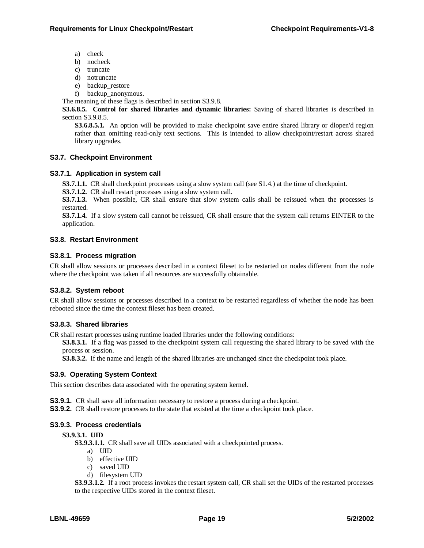- a) check
- b) nocheck
- c) truncate
- d) notruncate
- e) backup\_restore
- f) backup\_anonymous.

The meaning of these flags is described in section S3.9.8.

**S3.6.8.5. Control for shared libraries and dynamic libraries:** Saving of shared libraries is described in section S3.9.8.5.

**S3.6.8.5.1.** An option will be provided to make checkpoint save entire shared library or dlopen'd region rather than omitting read-only text sections. This is intended to allow checkpoint/restart across shared library upgrades.

## **S3.7. Checkpoint Environment**

## **S3.7.1. Application in system call**

**S3.7.1.1.** CR shall checkpoint processes using a slow system call (see S1.4.) at the time of checkpoint.

**S3.7.1.2.** CR shall restart processes using a slow system call.

**S3.7.1.3.** When possible, CR shall ensure that slow system calls shall be reissued when the processes is restarted.

**S3.7.1.4.** If a slow system call cannot be reissued, CR shall ensure that the system call returns EINTER to the application.

## **S3.8. Restart Environment**

## **S3.8.1. Process migration**

CR shall allow sessions or processes described in a context fileset to be restarted on nodes different from the node where the checkpoint was taken if all resources are successfully obtainable.

## **S3.8.2. System reboot**

CR shall allow sessions or processes described in a context to be restarted regardless of whether the node has been rebooted since the time the context fileset has been created.

## **S3.8.3. Shared libraries**

CR shall restart processes using runtime loaded libraries under the following conditions:

**S3.8.3.1.** If a flag was passed to the checkpoint system call requesting the shared library to be saved with the process or session.

**S3.8.3.2.** If the name and length of the shared libraries are unchanged since the checkpoint took place.

## **S3.9. Operating System Context**

This section describes data associated with the operating system kernel.

**S3.9.1.** CR shall save all information necessary to restore a process during a checkpoint.

**S3.9.2.** CR shall restore processes to the state that existed at the time a checkpoint took place.

## **S3.9.3. Process credentials**

## **S3.9.3.1. UID**

**S3.9.3.1.1.** CR shall save all UIDs associated with a checkpointed process.

- a) UID
- b) effective UID
- c) saved UID
- d) filesystem UID

**S3.9.3.1.2.** If a root process invokes the restart system call, CR shall set the UIDs of the restarted processes to the respective UIDs stored in the context fileset.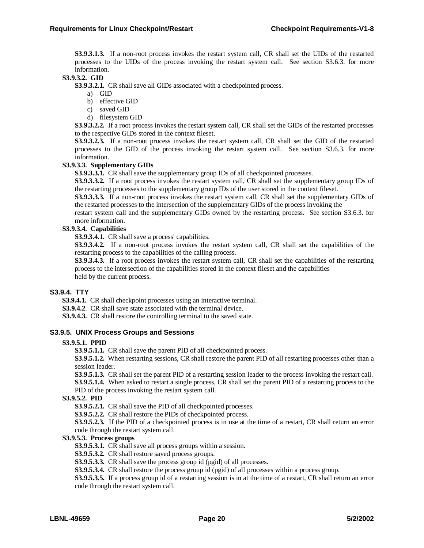**S3.9.3.1.3.** If a non-root process invokes the restart system call, CR shall set the UIDs of the restarted processes to the UIDs of the process invoking the restart system call. See section S3.6.3. for more information.

## **S3.9.3.2. GID**

**S3.9.3.2.1.** CR shall save all GIDs associated with a checkpointed process.

- a) GID
- b) effective GID
- c) saved GID
- d) filesystem GID

**S3.9.3.2.2.** If a root process invokes the restart system call, CR shall set the GIDs of the restarted processes to the respective GIDs stored in the context fileset.

**S3.9.3.2.3.** If a non-root process invokes the restart system call, CR shall set the GID of the restarted processes to the GID of the process invoking the restart system call. See section S3.6.3. for more information.

#### **S3.9.3.3. Supplementary GIDs**

**S3.9.3.3.1.** CR shall save the supplementary group IDs of all checkpointed processes.

**S3.9.3.3.2.** If a root process invokes the restart system call, CR shall set the supplementary group IDs of the restarting processes to the supplementary group IDs of the user stored in the context fileset.

**S3.9.3.3.3.** If a non-root process invokes the restart system call, CR shall set the supplementary GIDs of the restarted processes to the intersection of the supplementary GIDs of the process invoking the

restart system call and the supplementary GIDs owned by the restarting process. See section S3.6.3. for more information.

## **S3.9.3.4. Capabilities**

**S3.9.3.4.1.** CR shall save a process' capabilities.

**S3.9.3.4.2.** If a non-root process invokes the restart system call, CR shall set the capabilities of the restarting process to the capabilities of the calling process.

**S3.9.3.4.3.** If a root process invokes the restart system call, CR shall set the capabilities of the restarting process to the intersection of the capabilities stored in the context fileset and the capabilities held by the current process.

## **S3.9.4. TTY**

**S3.9.4.1.** CR shall checkpoint processes using an interactive terminal.

**S3.9.4.2**. CR shall save state associated with the terminal device.

**S3.9.4.3.** CR shall restore the controlling terminal to the saved state.

#### **S3.9.5. UNIX Process Groups and Sessions**

#### **S3.9.5.1. PPID**

**S3.9.5.1.1.** CR shall save the parent PID of all checkpointed process.

**S3.9.5.1.2.** When restarting sessions, CR shall restore the parent PID of all restarting processes other than a session leader.

**S3.9.5.1.3.** CR shall set the parent PID of a restarting session leader to the process invoking the restart call.

**S3.9.5.1.4.** When asked to restart a single process, CR shall set the parent PID of a restarting process to the PID of the process invoking the restart system call.

#### **S3.9.5.2. PID**

**S3.9.5.2.1.** CR shall save the PID of all checkpointed processes.

**S3.9.5.2.2.** CR shall restore the PIDs of checkpointed process.

**S3.9.5.2.3.** If the PID of a checkpointed process is in use at the time of a restart, CR shall return an error code through the restart system call.

#### **S3.9.5.3. Process groups**

**S3.9.5.3.1.** CR shall save all process groups within a session.

**S3.9.5.3.2.** CR shall restore saved process groups.

**S3.9.5.3.3.** CR shall save the process group id (pgid) of all processes.

**S3.9.5.3.4.** CR shall restore the process group id (pgid) of all processes within a process group.

**S3.9.5.3.5.** If a process group id of a restarting session is in at the time of a restart, CR shall return an error code through the restart system call.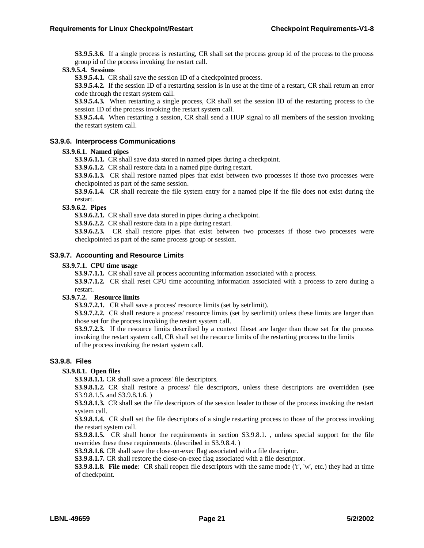**S3.9.5.3.6.** If a single process is restarting, CR shall set the process group id of the process to the process group id of the process invoking the restart call.

**S3.9.5.4. Sessions**

**S3.9.5.4.1.** CR shall save the session ID of a checkpointed process.

**S3.9.5.4.2.** If the session ID of a restarting session is in use at the time of a restart, CR shall return an error code through the restart system call.

**S3.9.5.4.3.** When restarting a single process, CR shall set the session ID of the restarting process to the session ID of the process invoking the restart system call.

**S3.9.5.4.4.** When restarting a session, CR shall send a HUP signal to all members of the session invoking the restart system call.

## **S3.9.6. Interprocess Communications**

## **S3.9.6.1. Named pipes**

**S3.9.6.1.1.** CR shall save data stored in named pipes during a checkpoint.

**S3.9.6.1.2.** CR shall restore data in a named pipe during restart.

**S3.9.6.1.3.** CR shall restore named pipes that exist between two processes if those two processes were checkpointed as part of the same session.

**S3.9.6.1.4.** CR shall recreate the file system entry for a named pipe if the file does not exist during the restart.

#### **S3.9.6.2. Pipes**

**S3.9.6.2.1.** CR shall save data stored in pipes during a checkpoint.

**S3.9.6.2.2.** CR shall restore data in a pipe during restart.

**S3.9.6.2.3.** CR shall restore pipes that exist between two processes if those two processes were checkpointed as part of the same process group or session.

## **S3.9.7. Accounting and Resource Limits**

#### **S3.9.7.1. CPU time usage**

**S3.9.7.1.1.** CR shall save all process accounting information associated with a process.

**S3.9.7.1.2.** CR shall reset CPU time accounting information associated with a process to zero during a restart.

#### **S3.9.7.2. Resource limits**

**S3.9.7.2.1.** CR shall save a process' resource limits (set by setrlimit).

**S3.9.7.2.2.** CR shall restore a process' resource limits (set by setrlimit) unless these limits are larger than those set for the process invoking the restart system call.

**S3.9.7.2.3.** If the resource limits described by a context fileset are larger than those set for the process invoking the restart system call, CR shall set the resource limits of the restarting process to the limits of the process invoking the restart system call.

## **S3.9.8. Files**

#### **S3.9.8.1. Open files**

**S3.9.8.1.1.** CR shall save a process' file descriptors.

**S3.9.8.1.2.** CR shall restore a process' file descriptors, unless these descriptors are overridden (see S3.9.8.1.5. and S3.9.8.1.6. )

**S3.9.8.1.3.** CR shall set the file descriptors of the session leader to those of the process invoking the restart system call.

**S3.9.8.1.4.** CR shall set the file descriptors of a single restarting process to those of the process invoking the restart system call.

**S3.9.8.1.5.** CR shall honor the requirements in section S3.9.8.1. , unless special support for the file overrides these these requirements. (described in S3.9.8.4. )

**S3.9.8.1.6.** CR shall save the close-on-exec flag associated with a file descriptor.

**S3.9.8.1.7.** CR shall restore the close-on-exec flag associated with a file descriptor.

**S3.9.8.1.8. File mode**: CR shall reopen file descriptors with the same mode ('r', 'w', etc.) they had at time of checkpoint.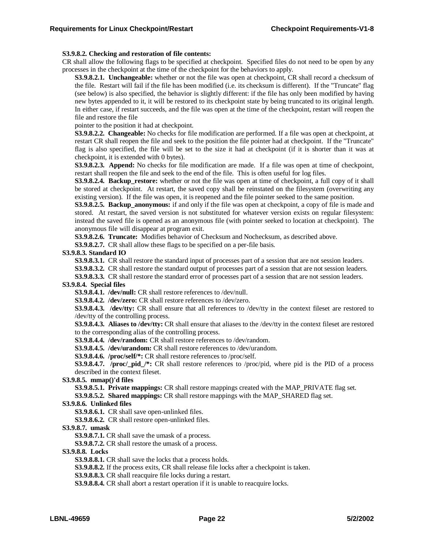#### **S3.9.8.2. Checking and restoration of file contents:**

CR shall allow the following flags to be specified at checkpoint. Specified files do not need to be open by any processes in the checkpoint at the time of the checkpoint for the behaviors to apply.

**S3.9.8.2.1. Unchangeable:** whether or not the file was open at checkpoint, CR shall record a checksum of the file. Restart will fail if the file has been modified (i.e. its checksum is different). If the "Truncate" flag (see below) is also specified, the behavior is slightly different: if the file has only been modified by having new bytes appended to it, it will be restored to its checkpoint state by being truncated to its original length. In either case, if restart succeeds, and the file was open at the time of the checkpoint, restart will reopen the file and restore the file

pointer to the position it had at checkpoint.

**S3.9.8.2.2. Changeable:** No checks for file modification are performed. If a file was open at checkpoint, at restart CR shall reopen the file and seek to the position the file pointer had at checkpoint. If the "Truncate" flag is also specified, the file will be set to the size it had at checkpoint (if it is shorter than it was at checkpoint, it is extended with 0 bytes).

**S3.9.8.2.3. Append:** No checks for file modification are made. If a file was open at time of checkpoint, restart shall reopen the file and seek to the end of the file. This is often useful for log files.

**S3.9.8.2.4. Backup** restore: whether or not the file was open at time of checkpoint, a full copy of it shall be stored at checkpoint. At restart, the saved copy shall be reinstated on the filesystem (overwriting any existing version). If the file was open, it is reopened and the file pointer seeked to the same position.

**S3.9.8.2.5. Backup\_anonymous:** if and only if the file was open at checkpoint, a copy of file is made and stored. At restart, the saved version is not substituted for whatever version exists on regular filesystem: instead the saved file is opened as an anonymous file (with pointer seeked to location at checkpoint). The anonymous file will disappear at program exit.

**S3.9.8.2.6. Truncate:** Modifies behavior of Checksum and Nochecksum, as described above.

**S3.9.8.2.7.** CR shall allow these flags to be specified on a per-file basis.

#### **S3.9.8.3. Standard IO**

**S3.9.8.3.1.** CR shall restore the standard input of processes part of a session that are not session leaders.

**S3.9.8.3.2.** CR shall restore the standard output of processes part of a session that are not session leaders.

**S3.9.8.3.3.** CR shall restore the standard error of processes part of a session that are not session leaders. **S3.9.8.4. Special files**

**S3.9.8.4.1. /dev/null:** CR shall restore references to /dev/null.

**S3.9.8.4.2. /dev/zero:** CR shall restore references to /dev/zero.

**S3.9.8.4.3. /dev/tty:** CR shall ensure that all references to /dev/tty in the context fileset are restored to /dev/tty of the controlling process.

**S3.9.8.4.3. Aliases to /dev/tty:** CR shall ensure that aliases to the /dev/tty in the context fileset are restored to the corresponding alias of the controlling process.

**S3.9.8.4.4. /dev/random:** CR shall restore references to /dev/random.

**S3.9.8.4.5. /dev/urandom:** CR shall restore references to /dev/urandom.

**S3.9.8.4.6. /proc/self/\*:** CR shall restore references to /proc/self.

**S3.9.8.4.7. /proc/\_pid\_/\*:** CR shall restore references to /proc/pid, where pid is the PID of a process described in the context fileset.

**S3.9.8.5. mmap()'d files**

**S3.9.8.5.1. Private mappings:** CR shall restore mappings created with the MAP\_PRIVATE flag set.

**S3.9.8.5.2. Shared mappings:** CR shall restore mappings with the MAP\_SHARED flag set.

#### **S3.9.8.6. Unlinked files**

**S3.9.8.6.1.** CR shall save open-unlinked files.

**S3.9.8.6.2.** CR shall restore open-unlinked files.

**S3.9.8.7. umask**

**S3.9.8.7.1.** CR shall save the umask of a process.

**S3.9.8.7.2.** CR shall restore the umask of a process.

**S3.9.8.8. Locks**

**S3.9.8.8.1.** CR shall save the locks that a process holds.

**S3.9.8.8.2.** If the process exits, CR shall release file locks after a checkpoint is taken.

**S3.9.8.8.3.** CR shall reacquire file locks during a restart.

**S3.9.8.8.4.** CR shall abort a restart operation if it is unable to reacquire locks.